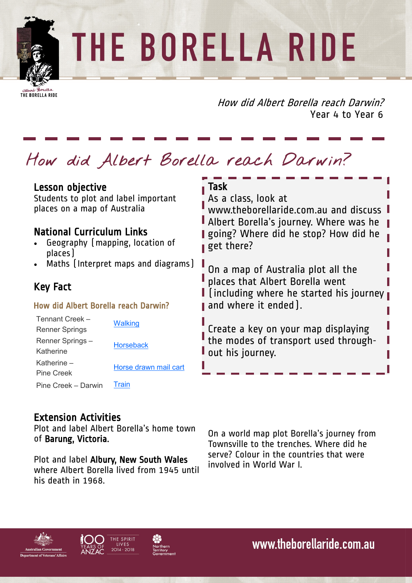## THE BORELLA RIDE

THE BORELLA RIDE

How did Albert Borella reach Darwin? Year 4 to Year 6

## **How did Albert Borella reach Darwin?**

| Lesson objective<br>Students to plot and label important<br>places on a map of Australia<br><b>National Curriculum Links</b><br>Geography [mapping, location of<br>places ] |                                    | Task<br>As a class, look at<br>www.theborellaride.com.au and discuss<br>Albert Borella's journey. Where was he<br>going? Where did he stop? How did he<br>get there? |
|-----------------------------------------------------------------------------------------------------------------------------------------------------------------------------|------------------------------------|----------------------------------------------------------------------------------------------------------------------------------------------------------------------|
| • Maths (Interpret maps and diagrams)<br><b>Key Fact</b><br>How did Albert Borella reach Darwin?                                                                            |                                    | On a map of Australia plot all the<br>places that Albert Borella went<br>$\blacksquare$ [including where he started his journey<br>and where it ended).              |
| Tennant Creek -<br><b>Renner Springs</b><br>Renner Springs-<br>Katherine<br>Katherine -                                                                                     | <b>Walking</b><br><b>Horseback</b> | Create a key on your map displaying<br>the modes of transport used through-<br>out his journey.                                                                      |
| <b>Pine Creek</b><br>Pine Creek - Darwin                                                                                                                                    | Horse drawn mail cart<br>Train     |                                                                                                                                                                      |

## Extension Activities

Plot and label Albert Borella's home town of Barung, Victoria.

Plot and label Albury, New South Wales where Albert Borella lived from 1945 until his death in 1968.

On a world map plot Borella's journey from Townsville to the trenches. Where did he serve? Colour in the countries that were involved in World War I.







www.theborellaride.com.au